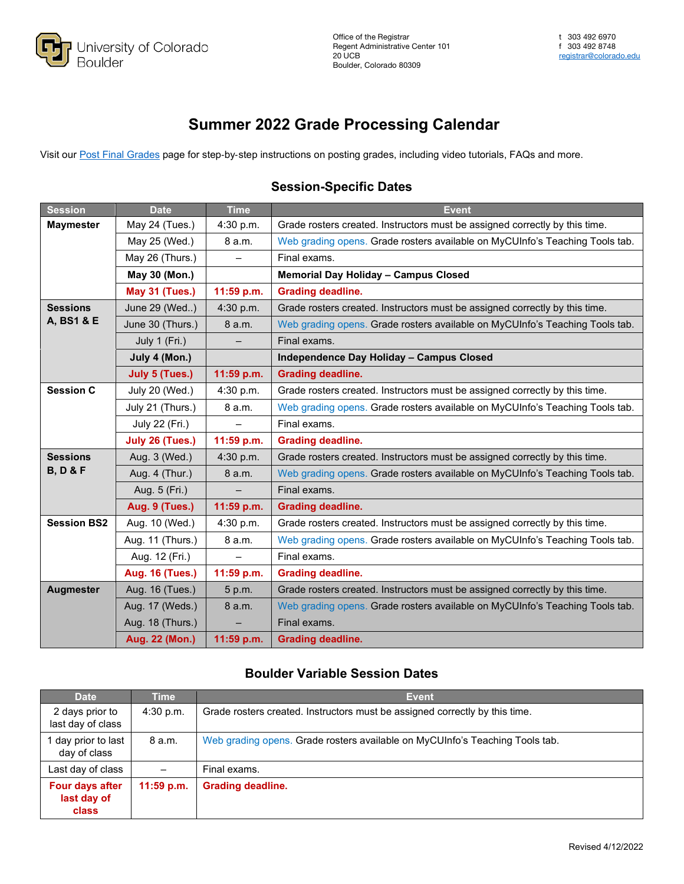

## **Summer 2022 Grade Processing Calendar**

Visit our [Post Final Grades](https://www.colorado.edu/registrar/faculty-staff/grading/post) page for step-by-step instructions on posting grades, including video tutorials, FAQs and more.

## **Session-Specific Dates**

| <b>Session</b>                         | <b>Date</b>            | <b>Time</b> | Event                                                                        |
|----------------------------------------|------------------------|-------------|------------------------------------------------------------------------------|
| <b>Maymester</b>                       | May 24 (Tues.)         | 4:30 p.m.   | Grade rosters created. Instructors must be assigned correctly by this time.  |
|                                        | May 25 (Wed.)          | 8 a.m.      | Web grading opens. Grade rosters available on MyCUInfo's Teaching Tools tab. |
|                                        | May 26 (Thurs.)        |             | Final exams.                                                                 |
|                                        | May 30 (Mon.)          |             | Memorial Day Holiday - Campus Closed                                         |
|                                        | <b>May 31 (Tues.)</b>  | 11:59 p.m.  | <b>Grading deadline.</b>                                                     |
| <b>Sessions</b><br>A, BS1 & E          | June 29 (Wed)          | 4:30 p.m.   | Grade rosters created. Instructors must be assigned correctly by this time.  |
|                                        | June 30 (Thurs.)       | 8 a.m.      | Web grading opens. Grade rosters available on MyCUInfo's Teaching Tools tab. |
|                                        | July 1 (Fri.)          |             | Final exams.                                                                 |
|                                        | July 4 (Mon.)          |             | <b>Independence Day Holiday - Campus Closed</b>                              |
|                                        | <b>July 5 (Tues.)</b>  | 11:59 p.m.  | <b>Grading deadline.</b>                                                     |
| <b>Session C</b>                       | July 20 (Wed.)         | 4:30 p.m.   | Grade rosters created. Instructors must be assigned correctly by this time.  |
|                                        | July 21 (Thurs.)       | 8 a.m.      | Web grading opens. Grade rosters available on MyCUInfo's Teaching Tools tab. |
|                                        | July 22 (Fri.)         |             | Final exams.                                                                 |
|                                        | July 26 (Tues.)        | 11:59 p.m.  | <b>Grading deadline.</b>                                                     |
| <b>Sessions</b><br><b>B, D &amp; F</b> | Aug. 3 (Wed.)          | 4:30 p.m.   | Grade rosters created. Instructors must be assigned correctly by this time.  |
|                                        | Aug. 4 (Thur.)         | 8 a.m.      | Web grading opens. Grade rosters available on MyCUInfo's Teaching Tools tab. |
|                                        | Aug. 5 (Fri.)          |             | Final exams.                                                                 |
|                                        | Aug. 9 (Tues.)         | 11:59 p.m.  | <b>Grading deadline.</b>                                                     |
| <b>Session BS2</b>                     | Aug. 10 (Wed.)         | 4:30 p.m.   | Grade rosters created. Instructors must be assigned correctly by this time.  |
|                                        | Aug. 11 (Thurs.)       | 8 a.m.      | Web grading opens. Grade rosters available on MyCUInfo's Teaching Tools tab. |
|                                        | Aug. 12 (Fri.)         |             | Final exams.                                                                 |
|                                        | <b>Aug. 16 (Tues.)</b> | 11:59 p.m.  | <b>Grading deadline.</b>                                                     |
| <b>Augmester</b>                       | Aug. 16 (Tues.)        | 5 p.m.      | Grade rosters created. Instructors must be assigned correctly by this time.  |
|                                        | Aug. 17 (Weds.)        | 8 a.m.      | Web grading opens. Grade rosters available on MyCUInfo's Teaching Tools tab. |
|                                        | Aug. 18 (Thurs.)       |             | Final exams.                                                                 |
|                                        | Aug. 22 (Mon.)         | 11:59 p.m.  | <b>Grading deadline.</b>                                                     |

## **Boulder Variable Session Dates**

| <b>Date</b>                                    | <b>Time</b>  | <b>Event</b>                                                                 |
|------------------------------------------------|--------------|------------------------------------------------------------------------------|
| 2 days prior to<br>last day of class           | 4:30 p.m.    | Grade rosters created. Instructors must be assigned correctly by this time.  |
| day prior to last<br>day of class              | 8 a.m.       | Web grading opens. Grade rosters available on MyCUInfo's Teaching Tools tab. |
| Last day of class                              |              | Final exams.                                                                 |
| Four days after<br>last day of<br><b>class</b> | $11:59$ p.m. | <b>Grading deadline.</b>                                                     |